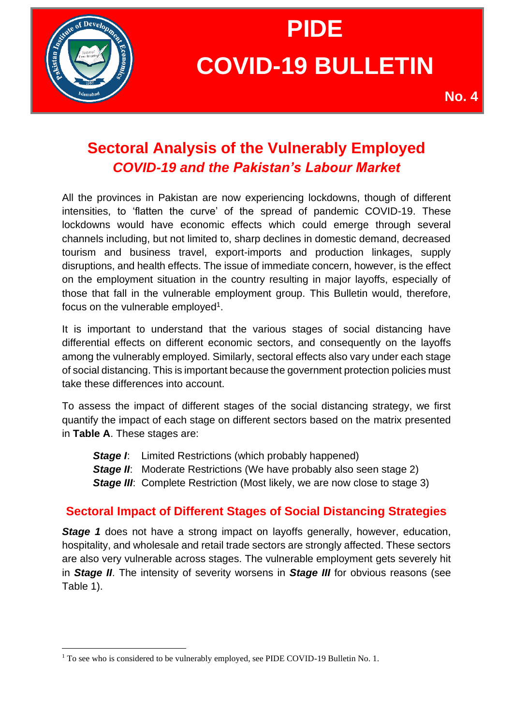

# **PIDE COVID-19 BULLETIN**

## **Sectoral Analysis of the Vulnerably Employed** *COVID-19 and the Pakistan's Labour Market*

All the provinces in Pakistan are now experiencing lockdowns, though of different intensities, to 'flatten the curve' of the spread of pandemic COVID-19. These lockdowns would have economic effects which could emerge through several channels including, but not limited to, sharp declines in domestic demand, decreased tourism and business travel, export-imports and production linkages, supply disruptions, and health effects. The issue of immediate concern, however, is the effect on the employment situation in the country resulting in major layoffs, especially of those that fall in the vulnerable employment group. This Bulletin would, therefore, focus on the vulnerable employed<sup>1</sup>.

It is important to understand that the various stages of social distancing have differential effects on different economic sectors, and consequently on the layoffs among the vulnerably employed. Similarly, sectoral effects also vary under each stage of social distancing. This is important because the government protection policies must take these differences into account.

To assess the impact of different stages of the social distancing strategy, we first quantify the impact of each stage on different sectors based on the matrix presented in **Table A**. These stages are:

*Stage I:* Limited Restrictions (which probably happened) **Stage II:** Moderate Restrictions (We have probably also seen stage 2) **Stage III:** Complete Restriction (Most likely, we are now close to stage 3)

### **Sectoral Impact of Different Stages of Social Distancing Strategies**

**Stage 1** does not have a strong impact on layoffs generally, however, education, hospitality, and wholesale and retail trade sectors are strongly affected. These sectors are also very vulnerable across stages. The vulnerable employment gets severely hit in *Stage II*. The intensity of severity worsens in *Stage III* for obvious reasons (see Table 1).

<sup>&</sup>lt;sup>1</sup> To see who is considered to be vulnerably employed, see PIDE COVID-19 Bulletin No. 1.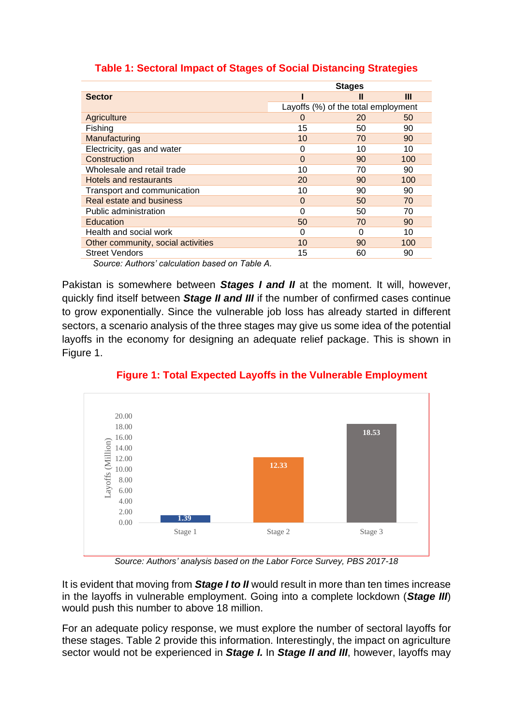|                                    | <b>Stages</b> |                                     |     |
|------------------------------------|---------------|-------------------------------------|-----|
| <b>Sector</b>                      |               | Ш                                   | Ш   |
|                                    |               | Layoffs (%) of the total employment |     |
| Agriculture                        | O             | 20                                  | 50  |
| Fishing                            | 15            | 50                                  | 90  |
| Manufacturing                      | 10            | 70                                  | 90  |
| Electricity, gas and water         | 0             | 10                                  | 10  |
| Construction                       | 0             | 90                                  | 100 |
| Wholesale and retail trade         | 10            | 70                                  | 90  |
| Hotels and restaurants             | 20            | 90                                  | 100 |
| Transport and communication        | 10            | 90                                  | 90  |
| Real estate and business           | 0             | 50                                  | 70  |
| Public administration              | O             | 50                                  | 70  |
| Education                          | 50            | 70                                  | 90  |
| Health and social work             | O             | O                                   | 10  |
| Other community, social activities | 10            | 90                                  | 100 |
| <b>Street Vendors</b>              | 15            | 60                                  | 90  |

#### **Table 1: Sectoral Impact of Stages of Social Distancing Strategies**

*Source: Authors' calculation based on Table A.*

Pakistan is somewhere between *Stages I and II* at the moment. It will, however, quickly find itself between *Stage II and III* if the number of confirmed cases continue to grow exponentially. Since the vulnerable job loss has already started in different sectors, a scenario analysis of the three stages may give us some idea of the potential layoffs in the economy for designing an adequate relief package. This is shown in Figure 1.



**Figure 1: Total Expected Layoffs in the Vulnerable Employment** 

*Source: Authors' analysis based on the Labor Force Survey, PBS 2017-18*

It is evident that moving from *Stage I to II* would result in more than ten times increase in the layoffs in vulnerable employment. Going into a complete lockdown (*Stage III*) would push this number to above 18 million.

For an adequate policy response, we must explore the number of sectoral layoffs for these stages. Table 2 provide this information. Interestingly, the impact on agriculture sector would not be experienced in *Stage I.* In *Stage II and III*, however, layoffs may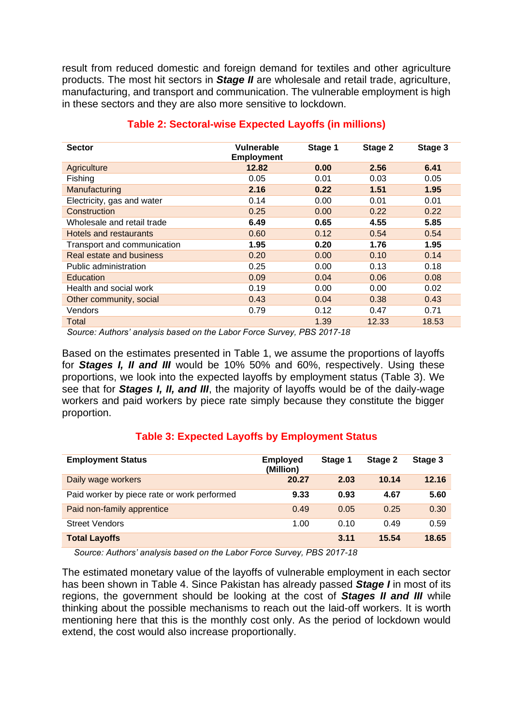result from reduced domestic and foreign demand for textiles and other agriculture products. The most hit sectors in *Stage II* are wholesale and retail trade, agriculture, manufacturing, and transport and communication. The vulnerable employment is high in these sectors and they are also more sensitive to lockdown.

| <b>Sector</b>               | Vulnerable<br><b>Employment</b> | Stage 1 | Stage 2 | Stage 3 |
|-----------------------------|---------------------------------|---------|---------|---------|
| Agriculture                 | 12.82                           | 0.00    | 2.56    | 6.41    |
| <b>Fishing</b>              | 0.05                            | 0.01    | 0.03    | 0.05    |
| Manufacturing               | 2.16                            | 0.22    | 1.51    | 1.95    |
| Electricity, gas and water  | 0.14                            | 0.00    | 0.01    | 0.01    |
| Construction                | 0.25                            | 0.00    | 0.22    | 0.22    |
| Wholesale and retail trade  | 6.49                            | 0.65    | 4.55    | 5.85    |
| Hotels and restaurants      | 0.60                            | 0.12    | 0.54    | 0.54    |
| Transport and communication | 1.95                            | 0.20    | 1.76    | 1.95    |
| Real estate and business    | 0.20                            | 0.00    | 0.10    | 0.14    |
| Public administration       | 0.25                            | 0.00    | 0.13    | 0.18    |
| Education                   | 0.09                            | 0.04    | 0.06    | 0.08    |
| Health and social work      | 0.19                            | 0.00    | 0.00    | 0.02    |
| Other community, social     | 0.43                            | 0.04    | 0.38    | 0.43    |
| Vendors                     | 0.79                            | 0.12    | 0.47    | 0.71    |
| Total                       |                                 | 1.39    | 12.33   | 18.53   |

#### **Table 2: Sectoral-wise Expected Layoffs (in millions)**

 *Source: Authors' analysis based on the Labor Force Survey, PBS 2017-18*

Based on the estimates presented in Table 1, we assume the proportions of layoffs for *Stages I, II and III* would be 10% 50% and 60%, respectively. Using these proportions, we look into the expected layoffs by employment status (Table 3). We see that for *Stages I, II, and III*, the majority of layoffs would be of the daily-wage workers and paid workers by piece rate simply because they constitute the bigger proportion.

#### **Table 3: Expected Layoffs by Employment Status**

| <b>Employment Status</b>                    | <b>Employed</b><br>(Million) | Stage 1 | Stage 2 | Stage 3 |
|---------------------------------------------|------------------------------|---------|---------|---------|
| Daily wage workers                          | 20.27                        | 2.03    | 10.14   | 12.16   |
| Paid worker by piece rate or work performed | 9.33                         | 0.93    | 4.67    | 5.60    |
| Paid non-family apprentice                  | 0.49                         | 0.05    | 0.25    | 0.30    |
| <b>Street Vendors</b>                       | 1.00                         | 0.10    | 0.49    | 0.59    |
| <b>Total Layoffs</b>                        |                              | 3.11    | 15.54   | 18.65   |

 *Source: Authors' analysis based on the Labor Force Survey, PBS 2017-18*

The estimated monetary value of the layoffs of vulnerable employment in each sector has been shown in Table 4. Since Pakistan has already passed *Stage I* in most of its regions, the government should be looking at the cost of *Stages II and III* while thinking about the possible mechanisms to reach out the laid-off workers. It is worth mentioning here that this is the monthly cost only. As the period of lockdown would extend, the cost would also increase proportionally.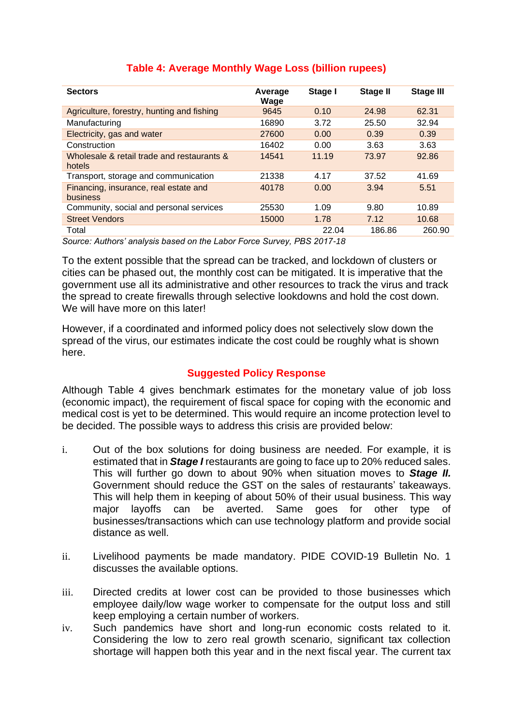| <b>Sectors</b>                                                                                 | Average<br>Wage | Stage I | Stage II | <b>Stage III</b> |
|------------------------------------------------------------------------------------------------|-----------------|---------|----------|------------------|
| Agriculture, forestry, hunting and fishing                                                     | 9645            | 0.10    | 24.98    | 62.31            |
| Manufacturing                                                                                  | 16890           | 3.72    | 25.50    | 32.94            |
| Electricity, gas and water                                                                     | 27600           | 0.00    | 0.39     | 0.39             |
| Construction                                                                                   | 16402           | 0.00    | 3.63     | 3.63             |
| Wholesale & retail trade and restaurants &<br>hotels                                           | 14541           | 11.19   | 73.97    | 92.86            |
| Transport, storage and communication                                                           | 21338           | 4.17    | 37.52    | 41.69            |
| Financing, insurance, real estate and<br>business                                              | 40178           | 0.00    | 3.94     | 5.51             |
| Community, social and personal services                                                        | 25530           | 1.09    | 9.80     | 10.89            |
| <b>Street Vendors</b>                                                                          | 15000           | 1.78    | 7.12     | 10.68            |
| Total                                                                                          |                 | 22.04   | 186.86   | 260.90           |
| $0.0000000$ , $0.000000$ and $0.00000$ and $0.00000$ and $0.00000$ and $0.00000$ and $0.00000$ |                 |         |          |                  |

#### **Table 4: Average Monthly Wage Loss (billion rupees)**

*Source: Authors' analysis based on the Labor Force Survey, PBS 2017-18*

To the extent possible that the spread can be tracked, and lockdown of clusters or cities can be phased out, the monthly cost can be mitigated. It is imperative that the government use all its administrative and other resources to track the virus and track the spread to create firewalls through selective lookdowns and hold the cost down. We will have more on this later!

However, if a coordinated and informed policy does not selectively slow down the spread of the virus, our estimates indicate the cost could be roughly what is shown here.

#### **Suggested Policy Response**

Although Table 4 gives benchmark estimates for the monetary value of job loss (economic impact), the requirement of fiscal space for coping with the economic and medical cost is yet to be determined. This would require an income protection level to be decided. The possible ways to address this crisis are provided below:

- i. Out of the box solutions for doing business are needed. For example, it is estimated that in *Stage I* restaurants are going to face up to 20% reduced sales. This will further go down to about 90% when situation moves to *Stage II.* Government should reduce the GST on the sales of restaurants' takeaways. This will help them in keeping of about 50% of their usual business. This way major layoffs can be averted. Same goes for other type of businesses/transactions which can use technology platform and provide social distance as well.
- ii. Livelihood payments be made mandatory. PIDE COVID-19 Bulletin No. 1 discusses the available options.
- iii. Directed credits at lower cost can be provided to those businesses which employee daily/low wage worker to compensate for the output loss and still keep employing a certain number of workers.
- iv. Such pandemics have short and long-run economic costs related to it. Considering the low to zero real growth scenario, significant tax collection shortage will happen both this year and in the next fiscal year. The current tax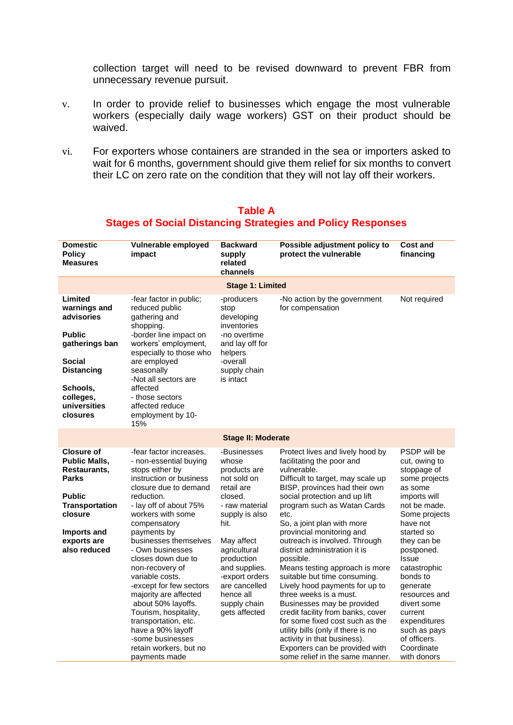collection target will need to be revised downward to prevent FBR from unnecessary revenue pursuit.

- v. In order to provide relief to businesses which engage the most vulnerable workers (especially daily wage workers) GST on their product should be waived.
- vi. For exporters whose containers are stranded in the sea or importers asked to wait for 6 months, government should give them relief for six months to convert their LC on zero rate on the condition that they will not lay off their workers.

| <b>Domestic</b><br><b>Policy</b><br><b>Measures</b>                                                                                                                          | Vulnerable employed<br>impact                                                                                                                                                                                                                                                                                                                                                                                                                                                                                                                | <b>Backward</b><br>supply<br>related<br>channels                                                                                                                                                                                                                       | Possible adjustment policy to<br>protect the vulnerable                                                                                                                                                                                                                                                                                                                                                                                                                                                                                                                                                                                                                                                                                            | <b>Cost and</b><br>financing                                                                                                                                                                                                                                                                                                                                     |  |  |  |
|------------------------------------------------------------------------------------------------------------------------------------------------------------------------------|----------------------------------------------------------------------------------------------------------------------------------------------------------------------------------------------------------------------------------------------------------------------------------------------------------------------------------------------------------------------------------------------------------------------------------------------------------------------------------------------------------------------------------------------|------------------------------------------------------------------------------------------------------------------------------------------------------------------------------------------------------------------------------------------------------------------------|----------------------------------------------------------------------------------------------------------------------------------------------------------------------------------------------------------------------------------------------------------------------------------------------------------------------------------------------------------------------------------------------------------------------------------------------------------------------------------------------------------------------------------------------------------------------------------------------------------------------------------------------------------------------------------------------------------------------------------------------------|------------------------------------------------------------------------------------------------------------------------------------------------------------------------------------------------------------------------------------------------------------------------------------------------------------------------------------------------------------------|--|--|--|
|                                                                                                                                                                              | <b>Stage 1: Limited</b>                                                                                                                                                                                                                                                                                                                                                                                                                                                                                                                      |                                                                                                                                                                                                                                                                        |                                                                                                                                                                                                                                                                                                                                                                                                                                                                                                                                                                                                                                                                                                                                                    |                                                                                                                                                                                                                                                                                                                                                                  |  |  |  |
| Limited<br>warnings and<br>advisories<br><b>Public</b><br>gatherings ban<br><b>Social</b><br><b>Distancing</b><br>Schools,<br>colleges,<br>universities<br>closures          | -fear factor in public;<br>reduced public<br>gathering and<br>shopping.<br>-border line impact on<br>workers' employment,<br>especially to those who<br>are employed<br>seasonally<br>-Not all sectors are<br>affected<br>- those sectors<br>affected reduce<br>employment by 10-<br>15%                                                                                                                                                                                                                                                     | -producers<br>stop<br>developing<br>inventories<br>-no overtime<br>and lay off for<br>helpers<br>-overall<br>supply chain<br>is intact                                                                                                                                 | -No action by the government<br>for compensation                                                                                                                                                                                                                                                                                                                                                                                                                                                                                                                                                                                                                                                                                                   | Not required                                                                                                                                                                                                                                                                                                                                                     |  |  |  |
|                                                                                                                                                                              |                                                                                                                                                                                                                                                                                                                                                                                                                                                                                                                                              | <b>Stage II: Moderate</b>                                                                                                                                                                                                                                              |                                                                                                                                                                                                                                                                                                                                                                                                                                                                                                                                                                                                                                                                                                                                                    |                                                                                                                                                                                                                                                                                                                                                                  |  |  |  |
| <b>Closure of</b><br><b>Public Malls,</b><br>Restaurants,<br><b>Parks</b><br><b>Public</b><br><b>Transportation</b><br>closure<br>Imports and<br>exports are<br>also reduced | -fear factor increases.<br>- non-essential buying<br>stops either by<br>instruction or business<br>closure due to demand<br>reduction.<br>- lay off of about 75%<br>workers with some<br>compensatory<br>payments by<br>businesses themselves<br>- Own businesses<br>closes down due to<br>non-recovery of<br>variable costs.<br>-except for few sectors<br>majority are affected<br>about 50% layoffs.<br>Tourism, hospitality,<br>transportation, etc.<br>have a 90% layoff<br>-some businesses<br>retain workers, but no<br>payments made | -Businesses<br>whose<br>products are<br>not sold on<br>retail are<br>closed.<br>- raw material<br>supply is also<br>hit.<br>May affect<br>agricultural<br>production<br>and supplies.<br>-export orders<br>are cancelled<br>hence all<br>supply chain<br>gets affected | Protect lives and lively hood by<br>facilitating the poor and<br>vulnerable.<br>Difficult to target, may scale up<br>BISP, provinces had their own<br>social protection and up lift<br>program such as Watan Cards<br>etc.<br>So, a joint plan with more<br>provincial monitoring and<br>outreach is involved. Through<br>district administration it is<br>possible.<br>Means testing approach is more<br>suitable but time consuming.<br>Lively hood payments for up to<br>three weeks is a must.<br>Businesses may be provided<br>credit facility from banks, cover<br>for some fixed cost such as the<br>utility bills (only if there is no<br>activity in that business).<br>Exporters can be provided with<br>some relief in the same manner. | PSDP will be<br>cut, owing to<br>stoppage of<br>some projects<br>as some<br>imports will<br>not be made.<br>Some projects<br>have not<br>started so<br>they can be<br>postponed.<br><b>Issue</b><br>catastrophic<br>bonds to<br>generate<br>resources and<br>divert some<br>current<br>expenditures<br>such as pays<br>of officers.<br>Coordinate<br>with donors |  |  |  |

#### **Table A Stages of Social Distancing Strategies and Policy Responses**